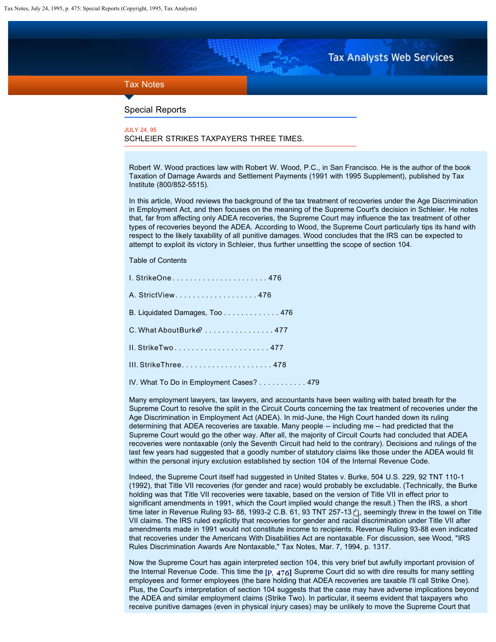# **Tax Analysts Web Services**

## <span id="page-0-0"></span>Tax Notes

### Special Reports

### JULY 24, 95 SCHLEIER STRIKES TAXPAYERS THREE TIMES.

Robert W. Wood practices law with Robert W. Wood, P.C., in San Francisco. He is the author of the book Taxation of Damage Awards and Settlement Payments (1991 with 1995 Supplement), published by Tax Institute (800/852-5515).

In this article, Wood reviews the background of the tax treatment of recoveries under the Age Discrimination in Employment Act, and then focuses on the meaning of the Supreme Court's decision in Schleier. He notes that, far from affecting only ADEA recoveries, the Supreme Court may influence the tax treatment of other types of recoveries beyond the ADEA. According to Wood, the Supreme Court particularly tips its hand with respect to the likely taxability of all punitive damages. Wood concludes that the IRS can be expected to attempt to exploit its victory in Schleier, thus further unsettling the scope of section 104.

### Table of Contents

| I. StrikeOne 476                        |
|-----------------------------------------|
| A. StrictView. 476                      |
| B. Liquidated Damages, Too 476          |
| C. What About Burke? 477                |
|                                         |
|                                         |
| IV. What To Do in Employment Cases? 479 |

Many employment lawyers, tax lawyers, and accountants have been waiting with bated breath for the Supreme Court to resolve the split in the Circuit Courts concerning the tax treatment of recoveries under the Age Discrimination in Employment Act (ADEA). In mid-June, the High Court handed down its ruling determining that ADEA recoveries are taxable. Many people -- including me -- had predicted that the Supreme Court would go the other way. After all, the majority of Circuit Courts had concluded that ADEA recoveries were nontaxable (only the Seventh Circuit had held to the contrary). Decisions and rulings of the last few years had suggested that a goodly number of statutory claims like those under the ADEA would fit within the personal injury exclusion established by section 104 of the Internal Revenue Code.

Indeed, the Supreme Court itself had suggested in United States v. Burke, 504 U.S. 229, 92 TNT 110-1 (1992), that Title VII recoveries (for gender and race) would probably be excludable. (Technically, the Burke holding was that Title VII recoveries were taxable, based on the version of Title VII in effect prior to significant amendments in 1991, which the Court implied would change the result.) Then the IRS, a short time later in Revenue Ruling 93- 88[,](http://services.taxanalysts.com/taxbase/archive/tnt1993.nsf/86255f19006ce90385255b580068db3a/a61a3e4b11db928c852560100016f46d?OpenDocument) 1993-2 C.B. 61, 93 TNT 257-13  $\hat{C}$ , seemingly threw in the towel on Title VII claims. The IRS ruled explicitly that recoveries for gender and racial discrimination under Title VII after amendments made in 1991 would not constitute income to recipients. Revenue Ruling 93-88 even indicated that recoveries under the Americans With Disabilities Act are nontaxable. For discussion, see Wood, "IRS Rules Discrimination Awards Are Nontaxable," Tax Notes, Mar. 7, 1994, p. 1317.

Now the Supreme Court has again interpreted section 104, this very brief but awfully important provision of the Internal Revenue Code. This time the  $[p, 476]$  Supreme Court did so with dire results for many settling employees and former employees (the bare holding that ADEA recoveries are taxable I'll call Strike One). Plus, the Court's interpretation of section 104 suggests that the case may have adverse implications beyond the ADEA and similar employment claims (Strike Two). In particular, it seems evident that taxpayers who receive punitive damages (even in physical injury cases) may be unlikely to move the Supreme Court that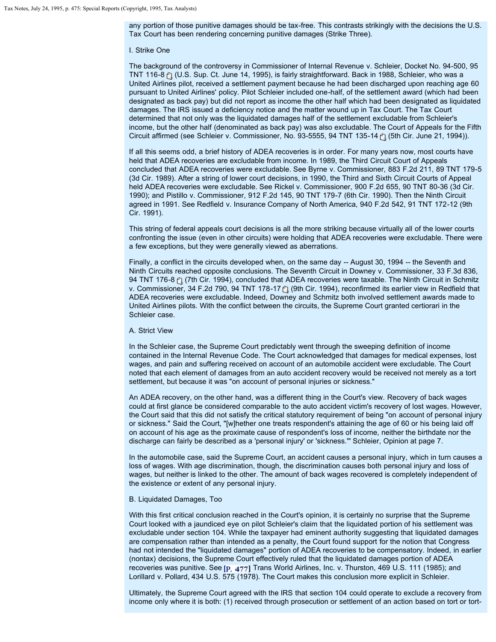any portion of those punitive damages should be tax-free. This contrasts strikingly with the decisions the U.S. Tax Court has been rendering concerning punitive damages (Strike Three).

#### I. Strike One

The background of the controversy in Commissioner of Internal Revenue v. Schleier, Docket No. 94-500, 95 TNT116-8  $f$  (U.S. Sup. Ct. June 14, 1995), is fairly straightforward. Back in 1988, Schleier, who was a United Airlines pilot, received a settlement payment because he had been discharged upon reaching age 60 pursuant to United Airlines' policy. Pilot Schleier included one-half, of the settlement award (which had been designated as back pay) but did not report as income the other half which had been designated as liquidated damages. The IRS issued a deficiency notice and the matter wound up in Tax Court. The Tax Court determined that not only was the liquidated damages half of the settlement excludable from Schleier's income, but the other half (denominated as back pay) was also excludable. The Court of Appeals for the Fifth Circuit affirmed (see Schleier v. Commissioner, No. 93-5555, 94 TNT 135-14  $\uparrow$ ) (5th Cir. June 21, 1994)).

If all this seems odd, a brief history of ADEA recoveries is in order. For many years now, most courts have held that ADEA recoveries are excludable from income. In 1989, the Third Circuit Court of Appeals concluded that ADEA recoveries were excludable. See Byrne v. Commissioner, 883 F.2d 211, 89 TNT 179-5 (3d Cir. 1989). After a string of lower court decisions, in 1990, the Third and Sixth Circuit Courts of Appeal held ADEA recoveries were excludable. See Rickel v. Commissioner, 900 F.2d 655, 90 TNT 80-36 (3d Cir. 1990); and Pistillo v. Commissioner, 912 F.2d 145, 90 TNT 179-7 (6th Cir. 1990). Then the Ninth Circuit agreed in 1991. See Redfield v. Insurance Company of North America, 940 F.2d 542, 91 TNT 172-12 (9th Cir. 1991).

This string of federal appeals court decisions is all the more striking because virtually all of the lower courts confronting the issue (even in other circuits) were holding that ADEA recoveries were excludable. There were a few exceptions, but they were generally viewed as aberrations.

Finally, a conflict in the circuits developed when, on the same day -- August 30, 1994 -- the Seventh and Ninth Circuits reached opposite conclusions. The Seventh Circuit in Downey v. Commissioner, 33 F.3d 836, 94 TNT 176-8  $f$  (7th Cir. 1994), concluded that ADEA recoveries were taxable. The Ninth Circuit in Schmitz v. Commissioner, 34 F.2d 790, 94 TNT 178-17 [\*] (9th Cir. 1994), reconfirmed its earlier view in Redfield that ADEA recoveries were excludable. Indeed, Downey and Schmitz both involved settlement awards made to United Airlines pilots. With the conflict between the circuits, the Supreme Court granted certiorari in the Schleier case.

### A. Strict View

In the Schleier case, the Supreme Court predictably went through the sweeping definition of income contained in the Internal Revenue Code. The Court acknowledged that damages for medical expenses, lost wages, and pain and suffering received on account of an automobile accident were excludable. The Court noted that each element of damages from an auto accident recovery would be received not merely as a tort settlement, but because it was "on account of personal injuries or sickness."

An ADEA recovery, on the other hand, was a different thing in the Court's view. Recovery of back wages could at first glance be considered comparable to the auto accident victim's recovery of lost wages. However, the Court said that this did not satisfy the critical statutory requirement of being "on account of personal injury or sickness." Said the Court, "[w]hether one treats respondent's attaining the age of 60 or his being laid off on account of his age as the proximate cause of respondent's loss of income, neither the birthdate nor the discharge can fairly be described as a 'personal injury' or 'sickness.'" Schleier, Opinion at page 7.

In the automobile case, said the Supreme Court, an accident causes a personal injury, which in turn causes a loss of wages. With age discrimination, though, the discrimination causes both personal injury and loss of wages, but neither is linked to the other. The amount of back wages recovered is completely independent of the existence or extent of any personal injury.

#### B. Liquidated Damages, Too

With this first critical conclusion reached in the Court's opinion, it is certainly no surprise that the Supreme Court looked with a jaundiced eye on pilot Schleier's claim that the liquidated portion of his settlement was excludable under section 104. While the taxpayer had eminent authority suggesting that liquidated damages are compensation rather than intended as a penalty, the Court found support for the notion that Congress had not intended the "liquidated damages" portion of ADEA recoveries to be compensatory. Indeed, in earlier (nontax) decisions, the Supreme Court effectively ruled that the liquidated damages portion of ADEA recoveries was punitive. See [p.  $477$ ] Trans World Airlines, Inc. v. Thurston, 469 U.S. 111 (1985); and Lorillard v. Pollard, 434 U.S. 575 (1978). The Court makes this conclusion more explicit in Schleier.

Ultimately, the Supreme Court agreed with the IRS that section 104 could operate to exclude a recovery from income only where it is both: (1) received through prosecution or settlement of an action based on tort or tort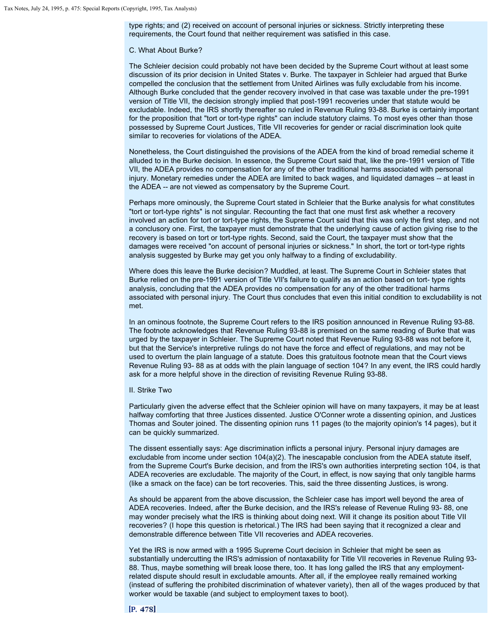type rights; and (2) received on account of personal injuries or sickness. Strictly interpreting these requirements, the Court found that neither requirement was satisfied in this case.

### C. What About Burke?

The Schleier decision could probably not have been decided by the Supreme Court without at least some discussion of its prior decision in United States v. Burke. The taxpayer in Schleier had argued that Burke compelled the conclusion that the settlement from United Airlines was fully excludable from his income. Although Burke concluded that the gender recovery involved in that case was taxable under the pre-1991 version of Title VII, the decision strongly implied that post-1991 recoveries under that statute would be excludable. Indeed, the IRS shortly thereafter so ruled in Revenue Ruling 93-88. Burke is certainly important for the proposition that "tort or tort-type rights" can include statutory claims. To most eyes other than those possessed by Supreme Court Justices, Title VII recoveries for gender or racial discrimination look quite similar to recoveries for violations of the ADEA.

Nonetheless, the Court distinguished the provisions of the ADEA from the kind of broad remedial scheme it alluded to in the Burke decision. In essence, the Supreme Court said that, like the pre-1991 version of Title VII, the ADEA provides no compensation for any of the other traditional harms associated with personal injury. Monetary remedies under the ADEA are limited to back wages, and liquidated damages -- at least in the ADEA -- are not viewed as compensatory by the Supreme Court.

Perhaps more ominously, the Supreme Court stated in Schleier that the Burke analysis for what constitutes "tort or tort-type rights" is not singular. Recounting the fact that one must first ask whether a recovery involved an action for tort or tort-type rights, the Supreme Court said that this was only the first step, and not a conclusory one. First, the taxpayer must demonstrate that the underlying cause of action giving rise to the recovery is based on tort or tort-type rights. Second, said the Court, the taxpayer must show that the damages were received "on account of personal injuries or sickness." In short, the tort or tort-type rights analysis suggested by Burke may get you only halfway to a finding of excludability.

Where does this leave the Burke decision? Muddled, at least. The Supreme Court in Schleier states that Burke relied on the pre-1991 version of Title VII's failure to qualify as an action based on tort- type rights analysis, concluding that the ADEA provides no compensation for any of the other traditional harms associated with personal injury. The Court thus concludes that even this initial condition to excludability is not met.

In an ominous footnote, the Supreme Court refers to the IRS position announced in Revenue Ruling 93-88. The footnote acknowledges that Revenue Ruling 93-88 is premised on the same reading of Burke that was urged by the taxpayer in Schleier. The Supreme Court noted that Revenue Ruling 93-88 was not before it, but that the Service's interpretive rulings do not have the force and effect of regulations, and may not be used to overturn the plain language of a statute. Does this gratuitous footnote mean that the Court views Revenue Ruling 93- 88 as at odds with the plain language of section 104? In any event, the IRS could hardly ask for a more helpful shove in the direction of revisiting Revenue Ruling 93-88.

### II. Strike Two

Particularly given the adverse effect that the Schleier opinion will have on many taxpayers, it may be at least halfway comforting that three Justices dissented. Justice O'Conner wrote a dissenting opinion, and Justices Thomas and Souter joined. The dissenting opinion runs 11 pages (to the majority opinion's 14 pages), but it can be quickly summarized.

The dissent essentially says: Age discrimination inflicts a personal injury. Personal injury damages are excludable from income under section 104(a)(2). The inescapable conclusion from the ADEA statute itself, from the Supreme Court's Burke decision, and from the IRS's own authorities interpreting section 104, is that ADEA recoveries are excludable. The majority of the Court, in effect, is now saying that only tangible harms (like a smack on the face) can be tort recoveries. This, said the three dissenting Justices, is wrong.

As should be apparent from the above discussion, the Schleier case has import well beyond the area of ADEA recoveries. Indeed, after the Burke decision, and the IRS's release of Revenue Ruling 93- 88, one may wonder precisely what the IRS is thinking about doing next. Will it change its position about Title VII recoveries? (I hope this question is rhetorical.) The IRS had been saying that it recognized a clear and demonstrable difference between Title VII recoveries and ADEA recoveries.

Yet the IRS is now armed with a 1995 Supreme Court decision in Schleier that might be seen as substantially undercutting the IRS's admission of nontaxability for Title VII recoveries in Revenue Ruling 93- 88. Thus, maybe something will break loose there, too. It has long galled the IRS that any employmentrelated dispute should result in excludable amounts. After all, if the employee really remained working (instead of suffering the prohibited discrimination of whatever variety), then all of the wages produced by that worker would be taxable (and subject to employment taxes to boot).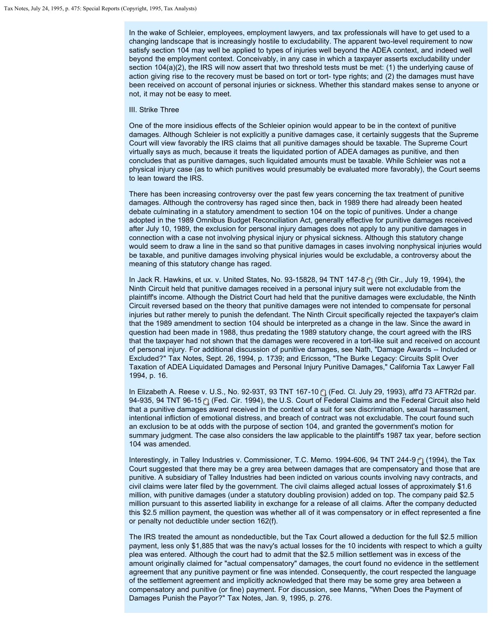In the wake of Schleier, employees, employment lawyers, and tax professionals will have to get used to a changing landscape that is increasingly hostile to excludability. The apparent two-level requirement to now satisfy section 104 may well be applied to types of injuries well beyond the ADEA context, and indeed well beyond the employment context. Conceivably, in any case in which a taxpayer asserts excludability under section 104(a)(2), the IRS will now assert that two threshold tests must be met: (1) the underlying cause of action giving rise to the recovery must be based on tort or tort- type rights; and (2) the damages must have been received on account of personal injuries or sickness. Whether this standard makes sense to anyone or not, it may not be easy to meet.

### III. Strike Three

One of the more insidious effects of the Schleier opinion would appear to be in the context of punitive damages. Although Schleier is not explicitly a punitive damages case, it certainly suggests that the Supreme Court will view favorably the IRS claims that all punitive damages should be taxable. The Supreme Court virtually says as much, because it treats the liquidated portion of ADEA damages as punitive, and then concludes that as punitive damages, such liquidated amounts must be taxable. While Schleier was not a physical injury case (as to which punitives would presumably be evaluated more favorably), the Court seems to lean toward the IRS.

There has been increasing controversy over the past few years concerning the tax treatment of punitive damages. Although the controversy has raged since then, back in 1989 there had already been heated debate culminating in a statutory amendment to section 104 on the topic of punitives. Under a change adopted in the 1989 Omnibus Budget Reconciliation Act, generally effective for punitive damages received after July 10, 1989, the exclusion for personal injury damages does not apply to any punitive damages in connection with a case not involving physical injury or physical sickness. Although this statutory change would seem to draw a line in the sand so that punitive damages in cases involving nonphysical injuries would be taxable, and punitive damages involving physical injuries would be excludable, a controversy about the meaning of this statutory change has raged.

In Jack R. Hawkins, et ux. v. United States, No. 93-15828, 94 TNT 147-8 [1] (9th Cir., July 19, 1994), the Ninth Circuit held that punitive damages received in a personal injury suit were not excludable from the plaintiff's income. Although the District Court had held that the punitive damages were excludable, the Ninth Circuit reversed based on the theory that punitive damages were not intended to compensate for personal injuries but rather merely to punish the defendant. The Ninth Circuit specifically rejected the taxpayer's claim that the 1989 amendment to section 104 should be interpreted as a change in the law. Since the award in question had been made in 1988, thus predating the 1989 statutory change, the court agreed with the IRS that the taxpayer had not shown that the damages were recovered in a tort-like suit and received on account of personal injury. For additional discussion of punitive damages, see Nath, "Damage Awards -- Included or Excluded?" Tax Notes, Sept. 26, 1994, p. 1739; and Ericsson, "The Burke Legacy: Circuits Split Over Taxation of ADEA Liquidated Damages and Personal Injury Punitive Damages," California Tax Lawyer Fall 1994, p. 16.

InElizabeth A. Reese v. U.S., No. 92-93T, 93 TNT 167-10 [ (Fed. Cl. July 29, 1993), aff'd 73 AFTR2d par. 94-935,94 TNT 96-15 [\*] (Fed. Cir. 1994), the U.S. Court of Federal Claims and the Federal Circuit also held that a punitive damages award received in the context of a suit for sex discrimination, sexual harassment, intentional infliction of emotional distress, and breach of contract was not excludable. The court found such an exclusion to be at odds with the purpose of section 104, and granted the government's motion for summary judgment. The case also considers the law applicable to the plaintiff's 1987 tax year, before section 104 was amended.

Interestingly,in Talley Industries v. Commissioner, T.C. Memo. 1994-606, 94 TNT 244-9 [1] (1994), the Tax Court suggested that there may be a grey area between damages that are compensatory and those that are punitive. A subsidiary of Talley Industries had been indicted on various counts involving navy contracts, and civil claims were later filed by the government. The civil claims alleged actual losses of approximately \$1.6 million, with punitive damages (under a statutory doubling provision) added on top. The company paid \$2.5 million pursuant to this asserted liability in exchange for a release of all claims. After the company deducted this \$2.5 million payment, the question was whether all of it was compensatory or in effect represented a fine or penalty not deductible under section 162(f).

The IRS treated the amount as nondeductible, but the Tax Court allowed a deduction for the full \$2.5 million payment, less only \$1,885 that was the navy's actual losses for the 10 incidents with respect to which a guilty plea was entered. Although the court had to admit that the \$2.5 million settlement was in excess of the amount originally claimed for "actual compensatory" damages, the court found no evidence in the settlement agreement that any punitive payment or fine was intended. Consequently, the court respected the language of the settlement agreement and implicitly acknowledged that there may be some grey area between a compensatory and punitive (or fine) payment. For discussion, see Manns, "When Does the Payment of Damages Punish the Payor?" Tax Notes, Jan. 9, 1995, p. 276.